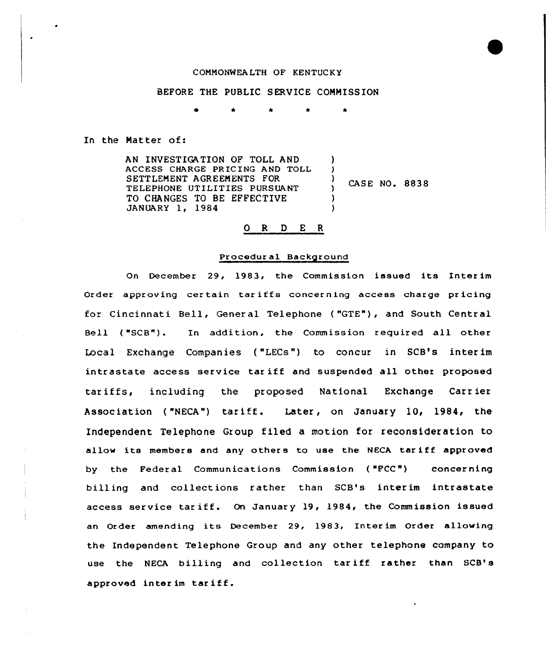## COMMONWEALTH OF KENTUCKY

### BEFORE THE PUBLIC SERVICE COMMISSION

In the Natter of:

AN INVESTIGATION OF TOLL AND ACCESS CHARGE PR IC ING AND TOLL SETTLENENT AGREENENTS FOR TELEPHONE UTILITIES PURSUANT TO CHANGES TO BE EFFECTIVE JANUARY 1, 1984 ) )<br>)  $\frac{7}{1}$  CASE NO. 8838 ) )

# 0 R <sup>D</sup> E <sup>R</sup>

#### Procedural Background

On December 29, 1983, the Commission issued its Inter im Order approving certain tariffs concerning access charge pricing for Cincinnati Bell, Gener al Telephone ( "GTE"), and South Central Bell ( "SCB"). In addition, the Commission required all other Local Exchange Companies ( "LECs") to concur in SCB's interim intrastate access service tar iff and suspended all other proposed tar iffs, including the proposed National Exchange Carr ier Association ("NECA") tariff. Later, on January 10, 1984, the Independent Telephone Group filed a motion for reconsideration to allow its members and any others to use the NECA tariff approved by the Federal Communications Commission ("PCC") concerning billing and collections rather than SCB's interim intrastate access service tariff. On January 19, 1984, the Commission issued an Order amending its December 29, 1983, Interim Order allowing the Independent Telephone Group and any other telephone company to use the NECA billing and collection tariff rather than SCB's approved inter im tar iff.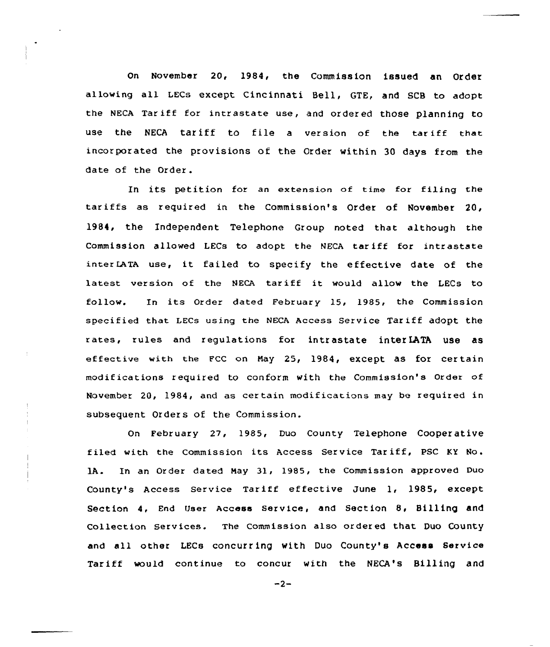On November 20, 1984, the Commiss ion issued an Qr der allowing all LECs except Cincinnati Bell, GTE, and SCB to adopt the NEcA Tar iff for intrastate use, and order ed those planning to use the NECA tariff to file a version of the tariff that incor porated the provisions of the Order within 30 days from the date of the Order .

In its petition for an extension of time for filing the tariffs as required in the Commission's Order of November 20, 1984, the Independent Telephone Group noted that although the Commission allowed LECs to adopt the NECA tariff for intrastate inter LATA use, it failed to specify the effective date of the latest version of the NECA tariff it would allow the LECs to follow. In its Order dated February 15, 1985, the Commission specified that LECs using the NECA Access Service Tariff adopt the rates, rules and regulations for intrastate inter LATA use as effective with the FCC on May 25, 1984, except as for certain modif ications required to conform with the Commission's Order of November 20, 1984, and as certain modifications may be required in subsequent Orders of the Commission.

On February 27, 1985, Duo County Telephone Cooperative filed with the Commission its Access Service Tar iff, PSC KY No . lA. In an Order dated May 31, 1985, the Commission approved Duo County's Access Service Tariff effective June 1, 1985, except Section 4, End User Access Service, and Section 8< Billing and Collection Services. The Commission also ordered that DuO COunty and all other LECs concurring with Duo County's Access Service Tariff would continue to concur with the NECA's Billing and

 $-2-$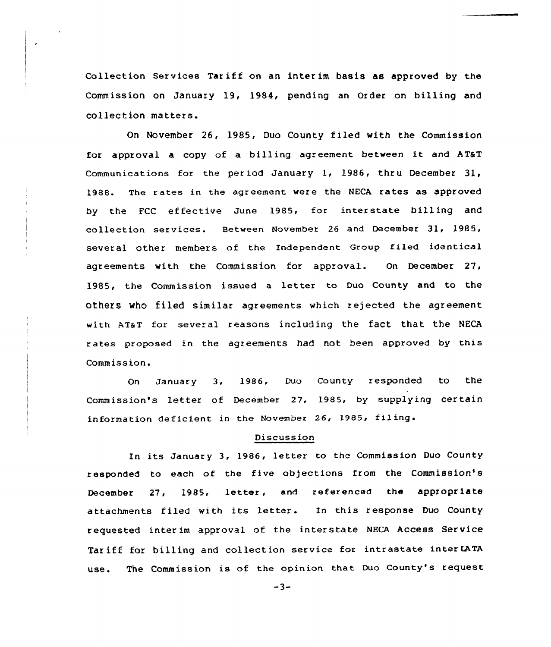Collection Services Tariff on an interim basis as approved by the Commission on January 19, 1984, pending an Order on billing and collection matters.

 $\ddot{\phantom{a}}$ 

On November 26, 1985, Duo County filed with the Commission for approval <sup>a</sup> copy of a billing agreement between it and AT&T Communications for the period January 1, 1986, thru December  $31$ , 1988. The rates in the agreement were the NECA rates as approved by the FCC ef fective June 1985, far interstate billing and collection services. Between November 26 and December 31, 1985, several other members of the Independent Group filed identical agreements with the Commission for approval. On, December 27, 1985, the Commission issued a letter to Duo County and to the others who filed similar agreements which rejected the agreement with AT&T for several reasons including the fact that the NECA rates proposed in the agreements had not been approved by this Commission.

On January 3, 1986, Dua County responded to the Commission's letter of December 27, 1985, by supplying certain information deficient in the November 26, 1985, filing.

## Discussion

In its January 3, 1986, letter to the Commission Duo County respanded to each of the five objections from the Commission's December 27, 1985, letter, and referenced the appropriate attachments filed with its letter. In this response Duo County requested inter im approval of the interstate NECA Access Service Tar iff for billing and collection service for intrastate inter IATA use. The Commission is of the opinion that Duo County's request

 $-3-$